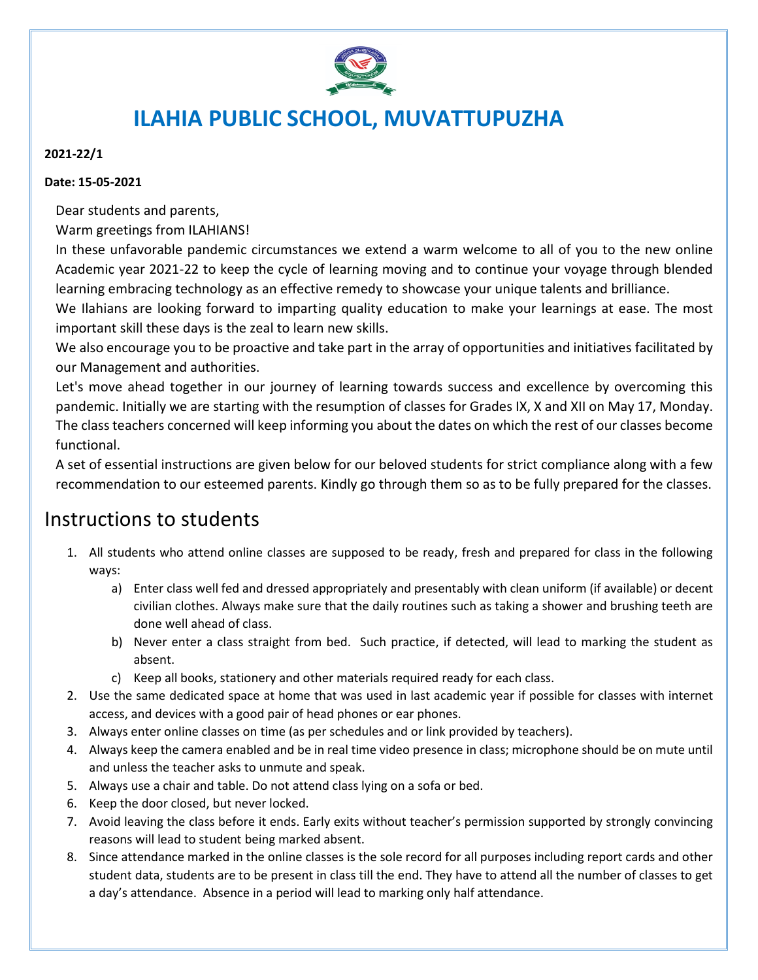

# **ILAHIA PUBLIC SCHOOL, MUVATTUPUZHA**

#### **2021-22/1**

#### **Date: 15-05-2021**

Dear students and parents,

Warm greetings from ILAHIANS!

In these unfavorable pandemic circumstances we extend a warm welcome to all of you to the new online Academic year 2021-22 to keep the cycle of learning moving and to continue your voyage through blended learning embracing technology as an effective remedy to showcase your unique talents and brilliance.

We Ilahians are looking forward to imparting quality education to make your learnings at ease. The most important skill these days is the zeal to learn new skills.

We also encourage you to be proactive and take part in the array of opportunities and initiatives facilitated by our Management and authorities.

Let's move ahead together in our journey of learning towards success and excellence by overcoming this pandemic. Initially we are starting with the resumption of classes for Grades IX, X and XII on May 17, Monday. The class teachers concerned will keep informing you about the dates on which the rest of our classes become functional.

A set of essential instructions are given below for our beloved students for strict compliance along with a few recommendation to our esteemed parents. Kindly go through them so as to be fully prepared for the classes.

## Instructions to students

- 1. All students who attend online classes are supposed to be ready, fresh and prepared for class in the following ways:
	- a) Enter class well fed and dressed appropriately and presentably with clean uniform (if available) or decent civilian clothes. Always make sure that the daily routines such as taking a shower and brushing teeth are done well ahead of class.
	- b) Never enter a class straight from bed. Such practice, if detected, will lead to marking the student as absent.
	- c) Keep all books, stationery and other materials required ready for each class.
- 2. Use the same dedicated space at home that was used in last academic year if possible for classes with internet access, and devices with a good pair of head phones or ear phones.
- 3. Always enter online classes on time (as per schedules and or link provided by teachers).
- 4. Always keep the camera enabled and be in real time video presence in class; microphone should be on mute until and unless the teacher asks to unmute and speak.
- 5. Always use a chair and table. Do not attend class lying on a sofa or bed.
- 6. Keep the door closed, but never locked.
- 7. Avoid leaving the class before it ends. Early exits without teacher's permission supported by strongly convincing reasons will lead to student being marked absent.
- 8. Since attendance marked in the online classes is the sole record for all purposes including report cards and other student data, students are to be present in class till the end. They have to attend all the number of classes to get a day's attendance. Absence in a period will lead to marking only half attendance.